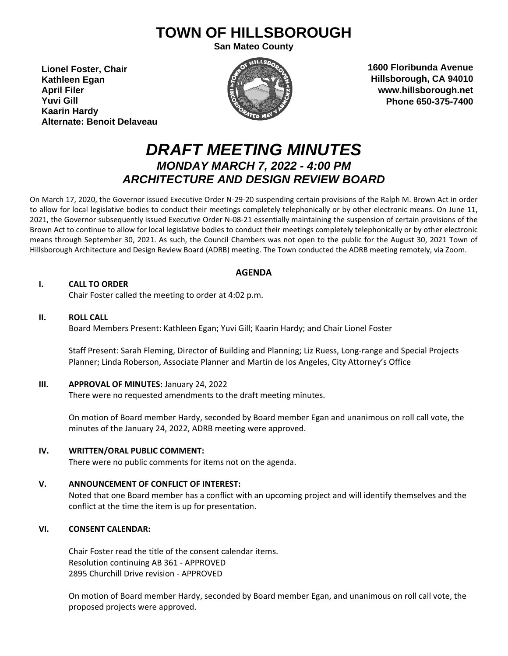# **TOWN OF HILLSBOROUGH**

**San Mateo County**

**Lionel Foster, Chair Kathleen Egan April Filer Yuvi Gill Kaarin Hardy Alternate: Benoit Delaveau**



**1600 Floribunda Avenue Hillsborough, CA 94010 www.hillsborough.net Phone 650-375-7400**

## *DRAFT MEETING MINUTES MONDAY MARCH 7, 2022 - 4:00 PM ARCHITECTURE AND DESIGN REVIEW BOARD*

On March 17, 2020, the Governor issued Executive Order N-29-20 suspending certain provisions of the Ralph M. Brown Act in order to allow for local legislative bodies to conduct their meetings completely telephonically or by other electronic means. On June 11, 2021, the Governor subsequently issued Executive Order N-08-21 essentially maintaining the suspension of certain provisions of the Brown Act to continue to allow for local legislative bodies to conduct their meetings completely telephonically or by other electronic means through September 30, 2021. As such, the Council Chambers was not open to the public for the August 30, 2021 Town of Hillsborough Architecture and Design Review Board (ADRB) meeting. The Town conducted the ADRB meeting remotely, via Zoom.

#### **AGENDA**

#### **I. CALL TO ORDER**

Chair Foster called the meeting to order at 4:02 p.m.

#### **II. ROLL CALL**

Board Members Present: Kathleen Egan; Yuvi Gill; Kaarin Hardy; and Chair Lionel Foster

Staff Present: Sarah Fleming, Director of Building and Planning; Liz Ruess, Long-range and Special Projects Planner; Linda Roberson, Associate Planner and Martin de los Angeles, City Attorney's Office

#### **III. APPROVAL OF MINUTES:** January 24, 2022

There were no requested amendments to the draft meeting minutes.

On motion of Board member Hardy, seconded by Board member Egan and unanimous on roll call vote, the minutes of the January 24, 2022, ADRB meeting were approved.

#### **IV. WRITTEN/ORAL PUBLIC COMMENT:**

There were no public comments for items not on the agenda.

#### **V. ANNOUNCEMENT OF CONFLICT OF INTEREST:**

Noted that one Board member has a conflict with an upcoming project and will identify themselves and the conflict at the time the item is up for presentation.

### **VI. CONSENT CALENDAR:**

Chair Foster read the title of the consent calendar items. Resolution continuing AB 361 - APPROVED 2895 Churchill Drive revision - APPROVED

On motion of Board member Hardy, seconded by Board member Egan, and unanimous on roll call vote, the proposed projects were approved.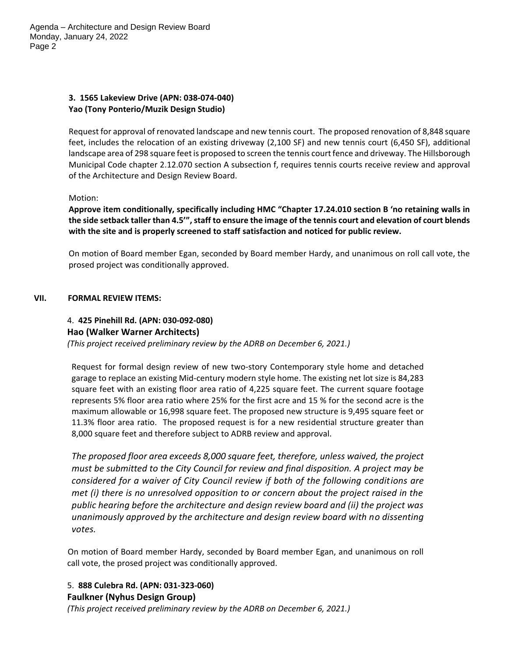Agenda – Architecture and Design Review Board Monday, January 24, 2022 Page 2

#### **3. 1565 Lakeview Drive (APN: 038-074-040) Yao (Tony Ponterio/Muzik Design Studio)**

Request for approval of renovated landscape and new tennis court. The proposed renovation of 8,848 square feet, includes the relocation of an existing driveway (2,100 SF) and new tennis court (6,450 SF), additional landscape area of 298 square feet is proposed to screen the tennis court fence and driveway. The Hillsborough Municipal Code chapter 2.12.070 section A subsection f, requires tennis courts receive review and approval of the Architecture and Design Review Board.

Motion:

**Approve item conditionally, specifically including HMC "Chapter 17.24.010 section B 'no retaining walls in the side setback taller than 4.5'", staff to ensure the image of the tennis court and elevation of court blends with the site and is properly screened to staff satisfaction and noticed for public review.** 

On motion of Board member Egan, seconded by Board member Hardy, and unanimous on roll call vote, the prosed project was conditionally approved.

#### **VII. FORMAL REVIEW ITEMS:**

#### 4.2. **425 Pinehill Rd. (APN: 030-092-080) Hao (Walker Warner Architects)**

*(This project received preliminary review by the ADRB on December 6, 2021.)*

Request for formal design review of new two-story Contemporary style home and detached garage to replace an existing Mid-century modern style home. The existing net lot size is 84,283 square feet with an existing floor area ratio of 4,225 square feet. The current square footage represents 5% floor area ratio where 25% for the first acre and 15 % for the second acre is the maximum allowable or 16,998 square feet. The proposed new structure is 9,495 square feet or 11.3% floor area ratio. The proposed request is for a new residential structure greater than 8,000 square feet and therefore subject to ADRB review and approval.

*The proposed floor area exceeds 8,000 square feet, therefore, unless waived, the project must be submitted to the City Council for review and final disposition. A project may be considered for a waiver of City Council review if both of the following conditions are met (i) there is no unresolved opposition to or concern about the project raised in the public hearing before the architecture and design review board and (ii) the project was unanimously approved by the architecture and design review board with no dissenting votes.*

On motion of Board member Hardy, seconded by Board member Egan, and unanimous on roll call vote, the prosed project was conditionally approved.

#### 5. **888 Culebra Rd. (APN: 031-323-060) Faulkner (Nyhus Design Group)**

*(This project received preliminary review by the ADRB on December 6, 2021.)*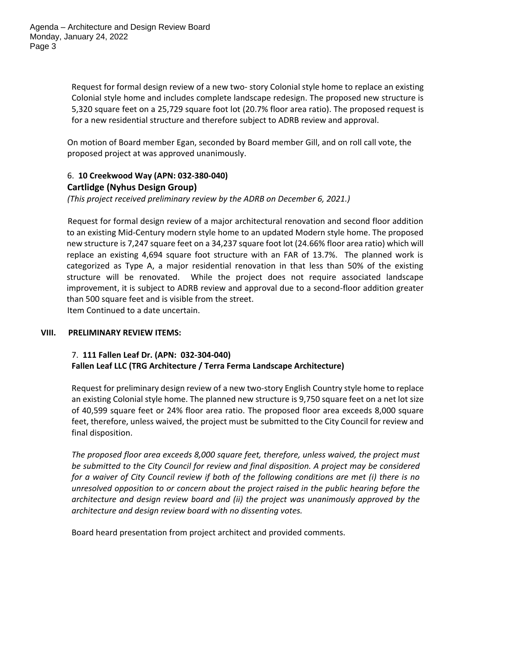Request for formal design review of a new two- story Colonial style home to replace an existing Colonial style home and includes complete landscape redesign. The proposed new structure is 5,320 square feet on a 25,729 square foot lot (20.7% floor area ratio). The proposed request is for a new residential structure and therefore subject to ADRB review and approval.

On motion of Board member Egan, seconded by Board member Gill, and on roll call vote, the proposed project at was approved unanimously.

### 6. **10 Creekwood Way (APN: 032-380-040) Cartlidge (Nyhus Design Group)**

*(This project received preliminary review by the ADRB on December 6, 2021.)*

Request for formal design review of a major architectural renovation and second floor addition to an existing Mid-Century modern style home to an updated Modern style home. The proposed new structure is 7,247 square feet on a 34,237 square foot lot (24.66% floor area ratio) which will replace an existing 4,694 square foot structure with an FAR of 13.7%. The planned work is categorized as Type A, a major residential renovation in that less than 50% of the existing structure will be renovated. While the project does not require associated landscape improvement, it is subject to ADRB review and approval due to a second-floor addition greater than 500 square feet and is visible from the street. Item Continued to a date uncertain.

#### **VIII. PRELIMINARY REVIEW ITEMS:**

#### 74.. **111 Fallen Leaf Dr. (APN: 032-304-040) Fallen Leaf LLC (TRG Architecture / Terra Ferma Landscape Architecture)**

Request for preliminary design review of a new two-story English Country style home to replace an existing Colonial style home. The planned new structure is 9,750 square feet on a net lot size of 40,599 square feet or 24% floor area ratio. The proposed floor area exceeds 8,000 square feet, therefore, unless waived, the project must be submitted to the City Council for review and final disposition.

*The proposed floor area exceeds 8,000 square feet, therefore, unless waived, the project must be submitted to the City Council for review and final disposition. A project may be considered for a waiver of City Council review if both of the following conditions are met (i) there is no unresolved opposition to or concern about the project raised in the public hearing before the architecture and design review board and (ii) the project was unanimously approved by the architecture and design review board with no dissenting votes.*

Board heard presentation from project architect and provided comments.